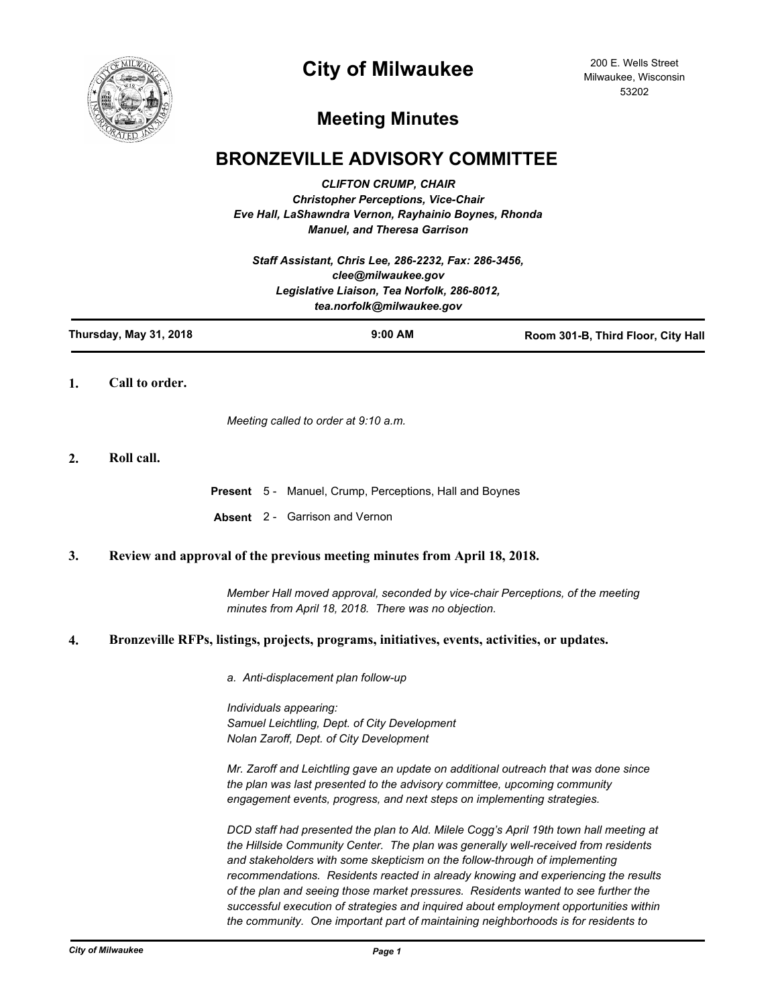

# **City of Milwaukee**

200 E. Wells Street Milwaukee, Wisconsin 53202

# **Meeting Minutes**

## **BRONZEVILLE ADVISORY COMMITTEE**

*CLIFTON CRUMP, CHAIR Christopher Perceptions, Vice-Chair Eve Hall, LaShawndra Vernon, Rayhainio Boynes, Rhonda Manuel, and Theresa Garrison*

*Staff Assistant, Chris Lee, 286-2232, Fax: 286-3456, clee@milwaukee.gov Legislative Liaison, Tea Norfolk, 286-8012, tea.norfolk@milwaukee.gov*

| Thursday, May 31, 2018 | $9:00$ AM | Room 301-B, Third Floor, City Hall |
|------------------------|-----------|------------------------------------|
|                        |           |                                    |

**1. Call to order.**

*Meeting called to order at 9:10 a.m.*

## **2. Roll call.**

**Present** 5 - Manuel, Crump, Perceptions, Hall and Boynes

**Absent** 2 - Garrison and Vernon

## **3. Review and approval of the previous meeting minutes from April 18, 2018.**

*Member Hall moved approval, seconded by vice-chair Perceptions, of the meeting minutes from April 18, 2018. There was no objection.*

## **4. Bronzeville RFPs, listings, projects, programs, initiatives, events, activities, or updates.**

*a. Anti-displacement plan follow-up*

*Individuals appearing: Samuel Leichtling, Dept. of City Development Nolan Zaroff, Dept. of City Development*

*Mr. Zaroff and Leichtling gave an update on additional outreach that was done since the plan was last presented to the advisory committee, upcoming community engagement events, progress, and next steps on implementing strategies.* 

*DCD staff had presented the plan to Ald. Milele Cogg's April 19th town hall meeting at the Hillside Community Center. The plan was generally well-received from residents and stakeholders with some skepticism on the follow-through of implementing recommendations. Residents reacted in already knowing and experiencing the results of the plan and seeing those market pressures. Residents wanted to see further the successful execution of strategies and inquired about employment opportunities within the community. One important part of maintaining neighborhoods is for residents to*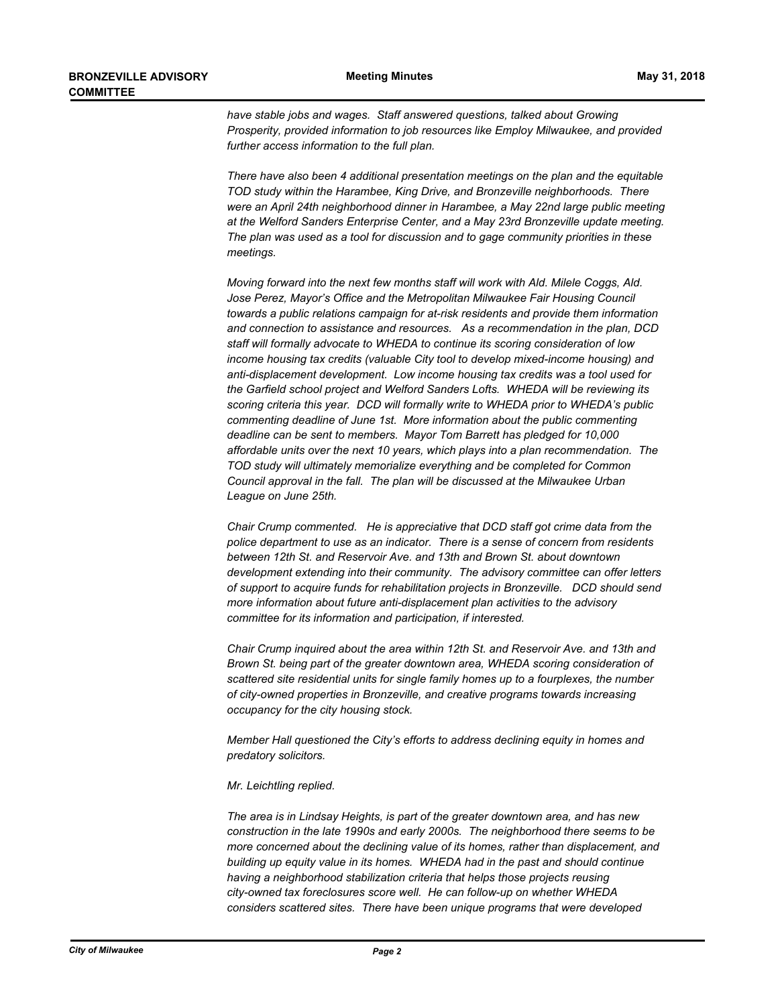*have stable jobs and wages. Staff answered questions, talked about Growing Prosperity, provided information to job resources like Employ Milwaukee, and provided further access information to the full plan.*

*There have also been 4 additional presentation meetings on the plan and the equitable TOD study within the Harambee, King Drive, and Bronzeville neighborhoods. There were an April 24th neighborhood dinner in Harambee, a May 22nd large public meeting at the Welford Sanders Enterprise Center, and a May 23rd Bronzeville update meeting. The plan was used as a tool for discussion and to gage community priorities in these meetings.* 

*Moving forward into the next few months staff will work with Ald. Milele Coggs, Ald. Jose Perez, Mayor's Office and the Metropolitan Milwaukee Fair Housing Council towards a public relations campaign for at-risk residents and provide them information and connection to assistance and resources. As a recommendation in the plan, DCD staff will formally advocate to WHEDA to continue its scoring consideration of low income housing tax credits (valuable City tool to develop mixed-income housing) and anti-displacement development. Low income housing tax credits was a tool used for the Garfield school project and Welford Sanders Lofts. WHEDA will be reviewing its scoring criteria this year. DCD will formally write to WHEDA prior to WHEDA's public commenting deadline of June 1st. More information about the public commenting deadline can be sent to members. Mayor Tom Barrett has pledged for 10,000 affordable units over the next 10 years, which plays into a plan recommendation. The TOD study will ultimately memorialize everything and be completed for Common Council approval in the fall. The plan will be discussed at the Milwaukee Urban League on June 25th.* 

*Chair Crump commented. He is appreciative that DCD staff got crime data from the police department to use as an indicator. There is a sense of concern from residents between 12th St. and Reservoir Ave. and 13th and Brown St. about downtown development extending into their community. The advisory committee can offer letters of support to acquire funds for rehabilitation projects in Bronzeville. DCD should send more information about future anti-displacement plan activities to the advisory committee for its information and participation, if interested.*

*Chair Crump inquired about the area within 12th St. and Reservoir Ave. and 13th and Brown St. being part of the greater downtown area, WHEDA scoring consideration of scattered site residential units for single family homes up to a fourplexes, the number of city-owned properties in Bronzeville, and creative programs towards increasing occupancy for the city housing stock.*

*Member Hall questioned the City's efforts to address declining equity in homes and predatory solicitors.*

#### *Mr. Leichtling replied.*

*The area is in Lindsay Heights, is part of the greater downtown area, and has new construction in the late 1990s and early 2000s. The neighborhood there seems to be more concerned about the declining value of its homes, rather than displacement, and building up equity value in its homes. WHEDA had in the past and should continue having a neighborhood stabilization criteria that helps those projects reusing city-owned tax foreclosures score well. He can follow-up on whether WHEDA considers scattered sites. There have been unique programs that were developed*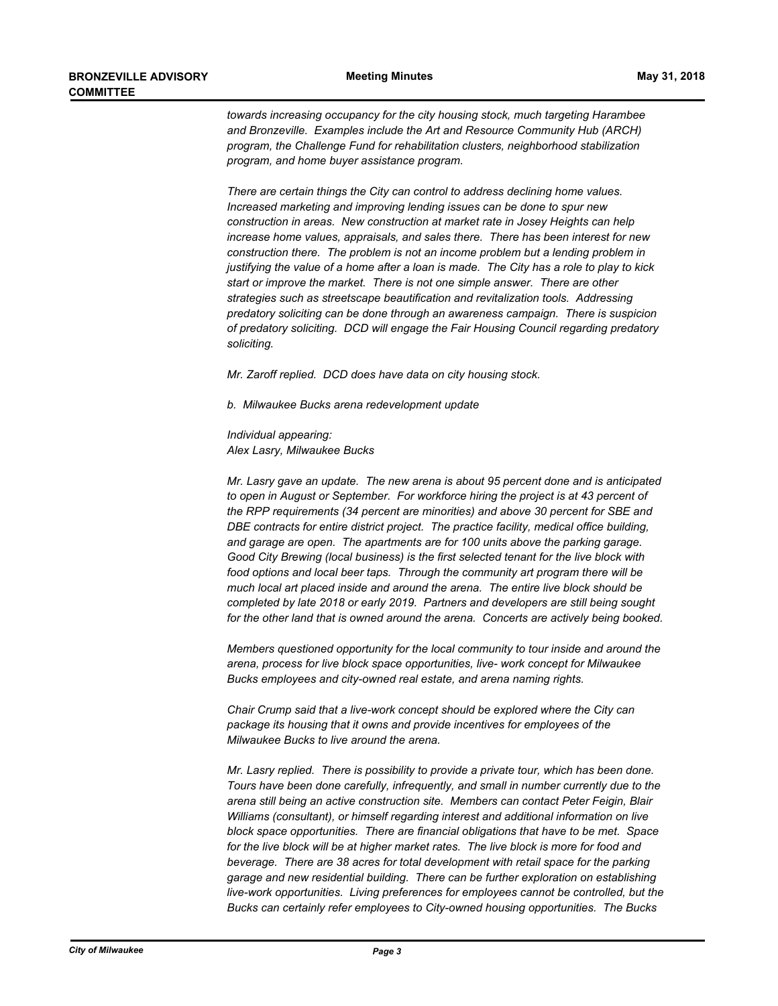*towards increasing occupancy for the city housing stock, much targeting Harambee and Bronzeville. Examples include the Art and Resource Community Hub (ARCH) program, the Challenge Fund for rehabilitation clusters, neighborhood stabilization program, and home buyer assistance program.*

*There are certain things the City can control to address declining home values. Increased marketing and improving lending issues can be done to spur new construction in areas. New construction at market rate in Josey Heights can help increase home values, appraisals, and sales there. There has been interest for new construction there. The problem is not an income problem but a lending problem in justifying the value of a home after a loan is made. The City has a role to play to kick start or improve the market. There is not one simple answer. There are other strategies such as streetscape beautification and revitalization tools. Addressing predatory soliciting can be done through an awareness campaign. There is suspicion of predatory soliciting. DCD will engage the Fair Housing Council regarding predatory soliciting.*

*Mr. Zaroff replied. DCD does have data on city housing stock.*

*b. Milwaukee Bucks arena redevelopment update*

*Individual appearing: Alex Lasry, Milwaukee Bucks*

*Mr. Lasry gave an update. The new arena is about 95 percent done and is anticipated*  to open in August or September. For workforce hiring the project is at 43 percent of *the RPP requirements (34 percent are minorities) and above 30 percent for SBE and DBE contracts for entire district project. The practice facility, medical office building, and garage are open. The apartments are for 100 units above the parking garage. Good City Brewing (local business) is the first selected tenant for the live block with food options and local beer taps. Through the community art program there will be much local art placed inside and around the arena. The entire live block should be completed by late 2018 or early 2019. Partners and developers are still being sought for the other land that is owned around the arena. Concerts are actively being booked.*

*Members questioned opportunity for the local community to tour inside and around the arena, process for live block space opportunities, live- work concept for Milwaukee Bucks employees and city-owned real estate, and arena naming rights.*

*Chair Crump said that a live-work concept should be explored where the City can package its housing that it owns and provide incentives for employees of the Milwaukee Bucks to live around the arena.*

*Mr. Lasry replied. There is possibility to provide a private tour, which has been done. Tours have been done carefully, infrequently, and small in number currently due to the arena still being an active construction site. Members can contact Peter Feigin, Blair Williams (consultant), or himself regarding interest and additional information on live block space opportunities. There are financial obligations that have to be met. Space*  for the live block will be at higher market rates. The live block is more for food and *beverage. There are 38 acres for total development with retail space for the parking garage and new residential building. There can be further exploration on establishing live-work opportunities. Living preferences for employees cannot be controlled, but the Bucks can certainly refer employees to City-owned housing opportunities. The Bucks*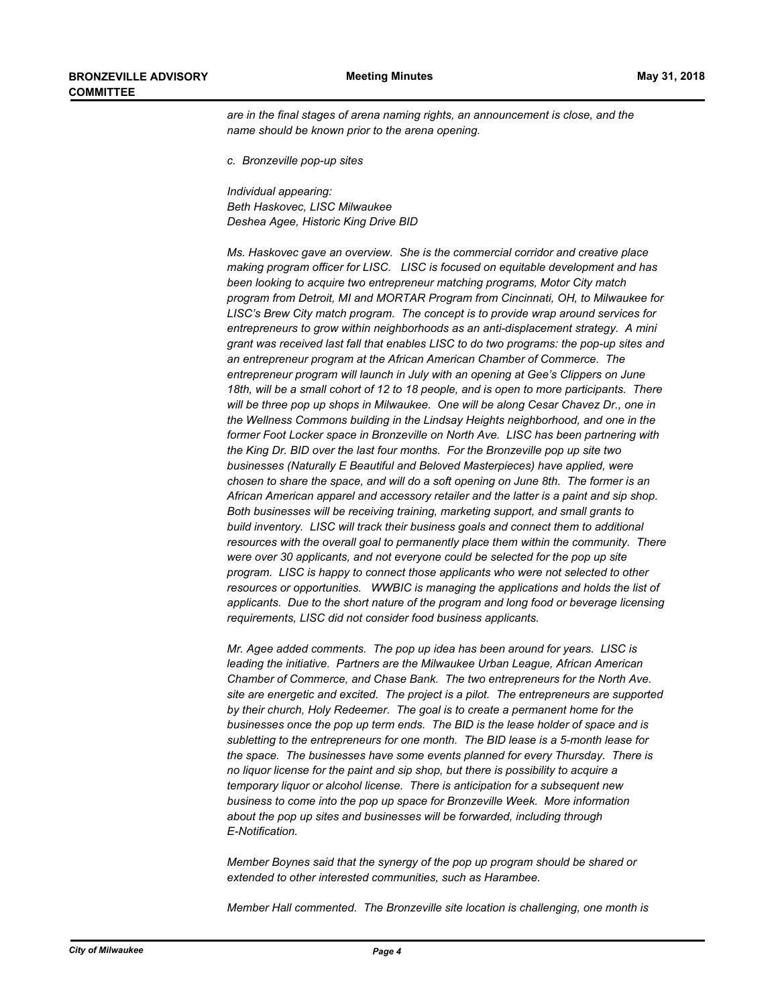*are in the final stages of arena naming rights, an announcement is close, and the name should be known prior to the arena opening.*

*c. Bronzeville pop-up sites*

*Individual appearing: Beth Haskovec, LISC Milwaukee Deshea Agee, Historic King Drive BID*

*Ms. Haskovec gave an overview. She is the commercial corridor and creative place making program officer for LISC. LISC is focused on equitable development and has been looking to acquire two entrepreneur matching programs, Motor City match program from Detroit, MI and MORTAR Program from Cincinnati, OH, to Milwaukee for LISC's Brew City match program. The concept is to provide wrap around services for entrepreneurs to grow within neighborhoods as an anti-displacement strategy. A mini grant was received last fall that enables LISC to do two programs: the pop-up sites and an entrepreneur program at the African American Chamber of Commerce. The entrepreneur program will launch in July with an opening at Gee's Clippers on June 18th, will be a small cohort of 12 to 18 people, and is open to more participants. There will be three pop up shops in Milwaukee. One will be along Cesar Chavez Dr., one in the Wellness Commons building in the Lindsay Heights neighborhood, and one in the former Foot Locker space in Bronzeville on North Ave. LISC has been partnering with the King Dr. BID over the last four months. For the Bronzeville pop up site two businesses (Naturally E Beautiful and Beloved Masterpieces) have applied, were chosen to share the space, and will do a soft opening on June 8th. The former is an African American apparel and accessory retailer and the latter is a paint and sip shop. Both businesses will be receiving training, marketing support, and small grants to build inventory. LISC will track their business goals and connect them to additional resources with the overall goal to permanently place them within the community. There were over 30 applicants, and not everyone could be selected for the pop up site program. LISC is happy to connect those applicants who were not selected to other resources or opportunities. WWBIC is managing the applications and holds the list of applicants. Due to the short nature of the program and long food or beverage licensing requirements, LISC did not consider food business applicants.*

*Mr. Agee added comments. The pop up idea has been around for years. LISC is leading the initiative. Partners are the Milwaukee Urban League, African American Chamber of Commerce, and Chase Bank. The two entrepreneurs for the North Ave. site are energetic and excited. The project is a pilot. The entrepreneurs are supported by their church, Holy Redeemer. The goal is to create a permanent home for the businesses once the pop up term ends. The BID is the lease holder of space and is subletting to the entrepreneurs for one month. The BID lease is a 5-month lease for the space. The businesses have some events planned for every Thursday. There is no liquor license for the paint and sip shop, but there is possibility to acquire a temporary liquor or alcohol license. There is anticipation for a subsequent new business to come into the pop up space for Bronzeville Week. More information about the pop up sites and businesses will be forwarded, including through E-Notification.*

*Member Boynes said that the synergy of the pop up program should be shared or extended to other interested communities, such as Harambee.*

*Member Hall commented. The Bronzeville site location is challenging, one month is*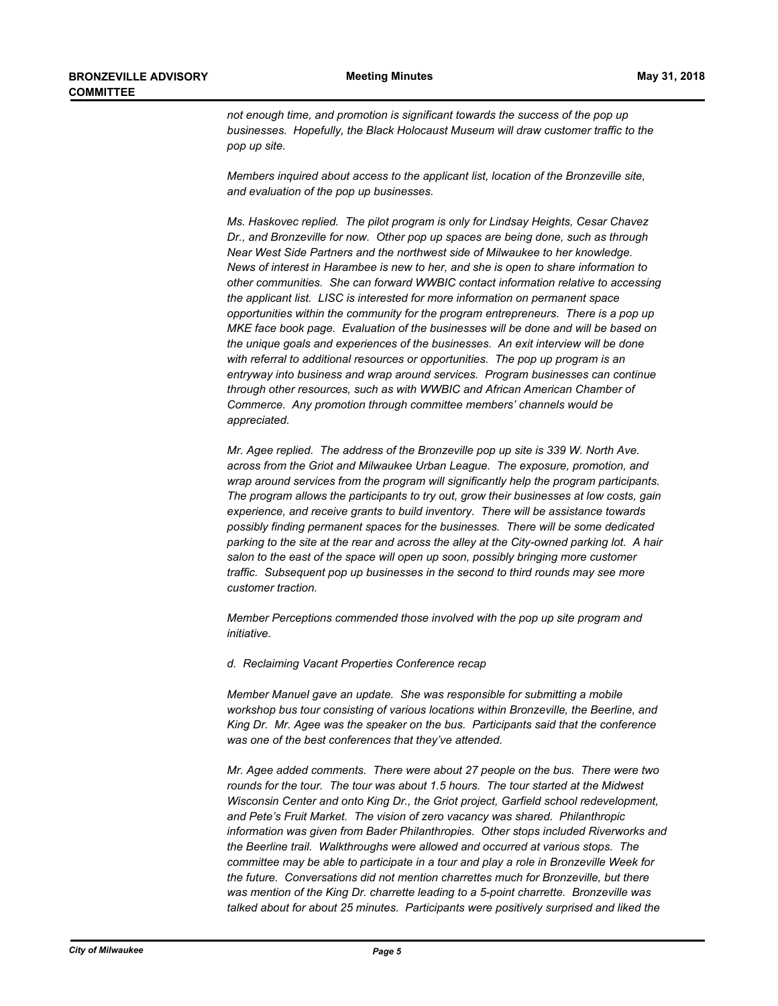*not enough time, and promotion is significant towards the success of the pop up businesses. Hopefully, the Black Holocaust Museum will draw customer traffic to the pop up site.*

*Members inquired about access to the applicant list, location of the Bronzeville site, and evaluation of the pop up businesses.*

*Ms. Haskovec replied. The pilot program is only for Lindsay Heights, Cesar Chavez Dr., and Bronzeville for now. Other pop up spaces are being done, such as through Near West Side Partners and the northwest side of Milwaukee to her knowledge. News of interest in Harambee is new to her, and she is open to share information to other communities. She can forward WWBIC contact information relative to accessing the applicant list. LISC is interested for more information on permanent space opportunities within the community for the program entrepreneurs. There is a pop up MKE face book page. Evaluation of the businesses will be done and will be based on the unique goals and experiences of the businesses. An exit interview will be done with referral to additional resources or opportunities. The pop up program is an entryway into business and wrap around services. Program businesses can continue through other resources, such as with WWBIC and African American Chamber of Commerce. Any promotion through committee members' channels would be appreciated.*

*Mr. Agee replied. The address of the Bronzeville pop up site is 339 W. North Ave. across from the Griot and Milwaukee Urban League. The exposure, promotion, and wrap around services from the program will significantly help the program participants. The program allows the participants to try out, grow their businesses at low costs, gain experience, and receive grants to build inventory. There will be assistance towards possibly finding permanent spaces for the businesses. There will be some dedicated parking to the site at the rear and across the alley at the City-owned parking lot. A hair salon to the east of the space will open up soon, possibly bringing more customer traffic. Subsequent pop up businesses in the second to third rounds may see more customer traction.* 

*Member Perceptions commended those involved with the pop up site program and initiative.*

*d. Reclaiming Vacant Properties Conference recap*

*Member Manuel gave an update. She was responsible for submitting a mobile workshop bus tour consisting of various locations within Bronzeville, the Beerline, and King Dr. Mr. Agee was the speaker on the bus. Participants said that the conference was one of the best conferences that they've attended.*

*Mr. Agee added comments. There were about 27 people on the bus. There were two rounds for the tour. The tour was about 1.5 hours. The tour started at the Midwest Wisconsin Center and onto King Dr., the Griot project, Garfield school redevelopment, and Pete's Fruit Market. The vision of zero vacancy was shared. Philanthropic information was given from Bader Philanthropies. Other stops included Riverworks and the Beerline trail. Walkthroughs were allowed and occurred at various stops. The committee may be able to participate in a tour and play a role in Bronzeville Week for the future. Conversations did not mention charrettes much for Bronzeville, but there was mention of the King Dr. charrette leading to a 5-point charrette. Bronzeville was talked about for about 25 minutes. Participants were positively surprised and liked the*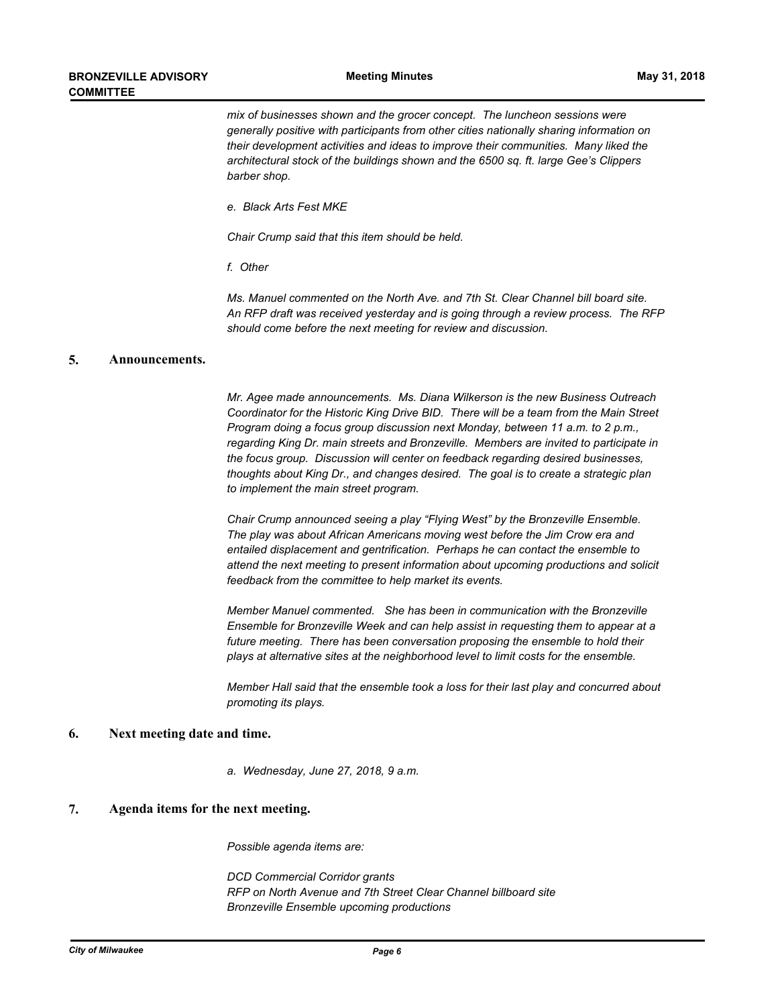*mix of businesses shown and the grocer concept. The luncheon sessions were generally positive with participants from other cities nationally sharing information on their development activities and ideas to improve their communities. Many liked the architectural stock of the buildings shown and the 6500 sq. ft. large Gee's Clippers barber shop.*

*e. Black Arts Fest MKE*

*Chair Crump said that this item should be held.*

*f. Other*

*Ms. Manuel commented on the North Ave. and 7th St. Clear Channel bill board site. An RFP draft was received yesterday and is going through a review process. The RFP should come before the next meeting for review and discussion.*

## **5. Announcements.**

*Mr. Agee made announcements. Ms. Diana Wilkerson is the new Business Outreach Coordinator for the Historic King Drive BID. There will be a team from the Main Street Program doing a focus group discussion next Monday, between 11 a.m. to 2 p.m., regarding King Dr. main streets and Bronzeville. Members are invited to participate in the focus group. Discussion will center on feedback regarding desired businesses, thoughts about King Dr., and changes desired. The goal is to create a strategic plan to implement the main street program.*

*Chair Crump announced seeing a play "Flying West" by the Bronzeville Ensemble. The play was about African Americans moving west before the Jim Crow era and entailed displacement and gentrification. Perhaps he can contact the ensemble to attend the next meeting to present information about upcoming productions and solicit feedback from the committee to help market its events.*

*Member Manuel commented. She has been in communication with the Bronzeville Ensemble for Bronzeville Week and can help assist in requesting them to appear at a future meeting. There has been conversation proposing the ensemble to hold their plays at alternative sites at the neighborhood level to limit costs for the ensemble.*

*Member Hall said that the ensemble took a loss for their last play and concurred about promoting its plays.*

#### **6. Next meeting date and time.**

*a. Wednesday, June 27, 2018, 9 a.m.*

## **7. Agenda items for the next meeting.**

*Possible agenda items are:*

*DCD Commercial Corridor grants RFP on North Avenue and 7th Street Clear Channel billboard site Bronzeville Ensemble upcoming productions*